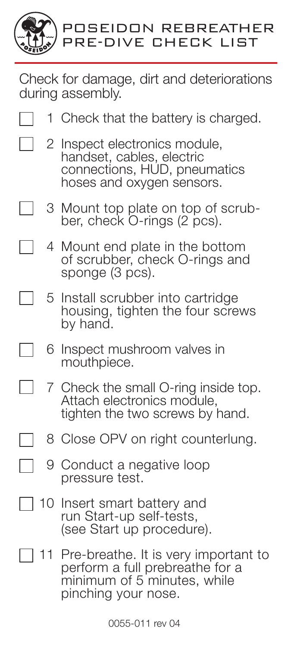

┓

Check for damage, dirt and deteriorations during assembly.

- 1 Check that the battery is charged.
	- 2 Inspect electronics module, handset, cables, electric connections, HUD, pneumatics hoses and oxygen sensors.
	- 3 Mount top plate on top of scrub- ber, check O-rings (2 pcs).
	- 4 Mount end plate in the bottom of scrubber, check O-rings and sponge (3 pcs).
- $\Box$ 5 Install scrubber into cartridge housing, tighten the four screws by hand.
- ٦ 6 Inspect mushroom valves in mouthpiece.
	- 7 Check the small O-ring inside top. Attach electronics module, tighten the two screws by hand.
- 8 Close OPV on right counterlung.
	- 9 Conduct a negative loop pressure test.
- 10 Insert smart battery and run Start-up self-tests, (see Start up procedure).
- 11 Pre-breathe. It is very important to perform a full prebreathe for a minimum of 5 minutes, while pinching your nose.